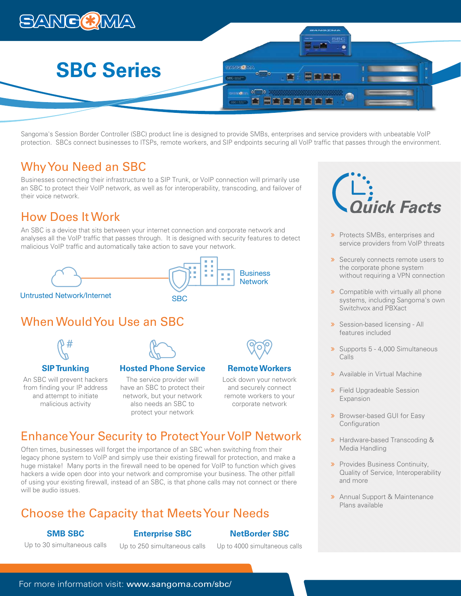

Sangoma's Session Border Controller (SBC) product line is designed to provide SMBs, enterprises and service providers with unbeatable VoIP protection. SBCs connect businesses to ITSPs, remote workers, and SIP endpoints securing all VoIP traffic that passes through the environment.

# Why You Need an SBC

Businesses connecting their infrastructure to a SIP Trunk, or VoIP connection will primarily use an SBC to protect their VoIP network, as well as for interoperability, transcoding, and failover of their voice network.

# How Does It Work

An SBC is a device that sits between your internet connection and corporate network and analyses all the VoIP traffic that passes through. It is designed with security features to detect malicious VoIP traffic and automatically take action to save your network.



Untrusted Network/Internet SBC

# When Would You Use an SBC



# **SIP Trunking**

An SBC will prevent hackers from finding your IP address and attempt to initiate malicious activity



The service provider will have an SBC to protect their network, but your network also needs an SBC to protect your network



# **Remote Workers**

Lock down your network and securely connect remote workers to your corporate network

# Enhance Your Security to Protect Your VoIP Network

Often times, businesses will forget the importance of an SBC when switching from their legacy phone system to VoIP and simply use their existing firewall for protection, and make a huge mistake! Many ports in the firewall need to be opened for VoIP to function which gives hackers a wide open door into your network and compromise your business. The other pitfall of using your existing firewall, instead of an SBC, is that phone calls may not connect or there will be audio issues.

# Choose the Capacity that Meets Your Needs

# **SMB SBC**

# **Enterprise SBC**

# **NetBorder SBC**

Up to 30 simultaneous calls

Up to 250 simultaneous calls

Up to 4000 simultaneous calls



- > Protects SMBs, enterprises and service providers from VoIP threats
- **»** Securely connects remote users to the corporate phone system without requiring a VPN connection
- **»** Compatible with virtually all phone systems, including Sangoma's own Switchvox and PBXact
- **»** Session-based licensing All features included
- > Supports 5 4,000 Simultaneous Calls
- **»** Available in Virtual Machine
- **»** Field Upgradeable Session Expansion
- **»** Browser-based GUI for Easy **Configuration**
- Hardware-based Transcoding & Media Handling
- **»** Provides Business Continuity, Quality of Service, Interoperability and more
- **>>** Annual Support & Maintenance Plans available